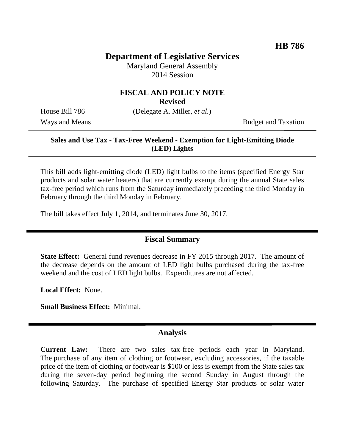## **Department of Legislative Services**

Maryland General Assembly 2014 Session

#### **FISCAL AND POLICY NOTE**

**Revised**

House Bill 786 (Delegate A. Miller, *et al.*)

Ways and Means Budget and Taxation

## **Sales and Use Tax - Tax-Free Weekend - Exemption for Light-Emitting Diode (LED) Lights**

This bill adds light-emitting diode (LED) light bulbs to the items (specified Energy Star products and solar water heaters) that are currently exempt during the annual State sales tax-free period which runs from the Saturday immediately preceding the third Monday in February through the third Monday in February.

The bill takes effect July 1, 2014, and terminates June 30, 2017.

### **Fiscal Summary**

**State Effect:** General fund revenues decrease in FY 2015 through 2017. The amount of the decrease depends on the amount of LED light bulbs purchased during the tax-free weekend and the cost of LED light bulbs. Expenditures are not affected.

**Local Effect:** None.

**Small Business Effect:** Minimal.

#### **Analysis**

**Current Law:** There are two sales tax-free periods each year in Maryland. The purchase of any item of clothing or footwear, excluding accessories, if the taxable price of the item of clothing or footwear is \$100 or less is exempt from the State sales tax during the seven-day period beginning the second Sunday in August through the following Saturday. The purchase of specified Energy Star products or solar water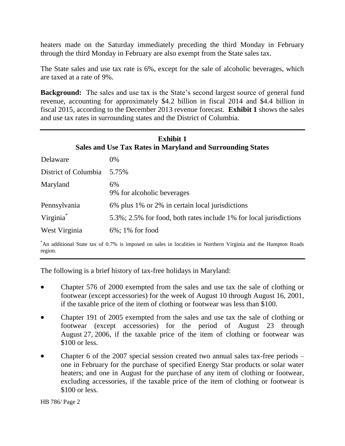heaters made on the Saturday immediately preceding the third Monday in February through the third Monday in February are also exempt from the State sales tax.

The State sales and use tax rate is 6%, except for the sale of alcoholic beverages, which are taxed at a rate of 9%.

**Background:** The sales and use tax is the State's second largest source of general fund revenue, accounting for approximately \$4.2 billion in fiscal 2014 and \$4.4 billion in fiscal 2015, according to the December 2013 revenue forecast. **Exhibit 1** shows the sales and use tax rates in surrounding states and the District of Columbia.

| <b>Exhibit 1</b><br>Sales and Use Tax Rates in Maryland and Surrounding States |                                                                    |  |
|--------------------------------------------------------------------------------|--------------------------------------------------------------------|--|
| Delaware                                                                       | $0\%$                                                              |  |
| District of Columbia                                                           | 5.75%                                                              |  |
| Maryland                                                                       | 6%<br>9% for alcoholic beverages                                   |  |
| Pennsylvania                                                                   | 6% plus 1% or 2% in certain local jurisdictions                    |  |
| Virginia <sup>*</sup>                                                          | 5.3%; 2.5% for food, both rates include 1% for local jurisdictions |  |
| West Virginia                                                                  | $6\%$ ; 1% for food                                                |  |

\*An additional State tax of 0.7% is imposed on sales in localities in Northern Virginia and the Hampton Roads region.

The following is a brief history of tax-free holidays in Maryland:

- Chapter 576 of 2000 exempted from the sales and use tax the sale of clothing or footwear (except accessories) for the week of August 10 through August 16, 2001, if the taxable price of the item of clothing or footwear was less than \$100.
- Chapter 191 of 2005 exempted from the sales and use tax the sale of clothing or footwear (except accessories) for the period of August 23 through August 27, 2006, if the taxable price of the item of clothing or footwear was \$100 or less.
- Chapter 6 of the 2007 special session created two annual sales tax-free periods one in February for the purchase of specified Energy Star products or solar water heaters; and one in August for the purchase of any item of clothing or footwear, excluding accessories, if the taxable price of the item of clothing or footwear is \$100 or less.